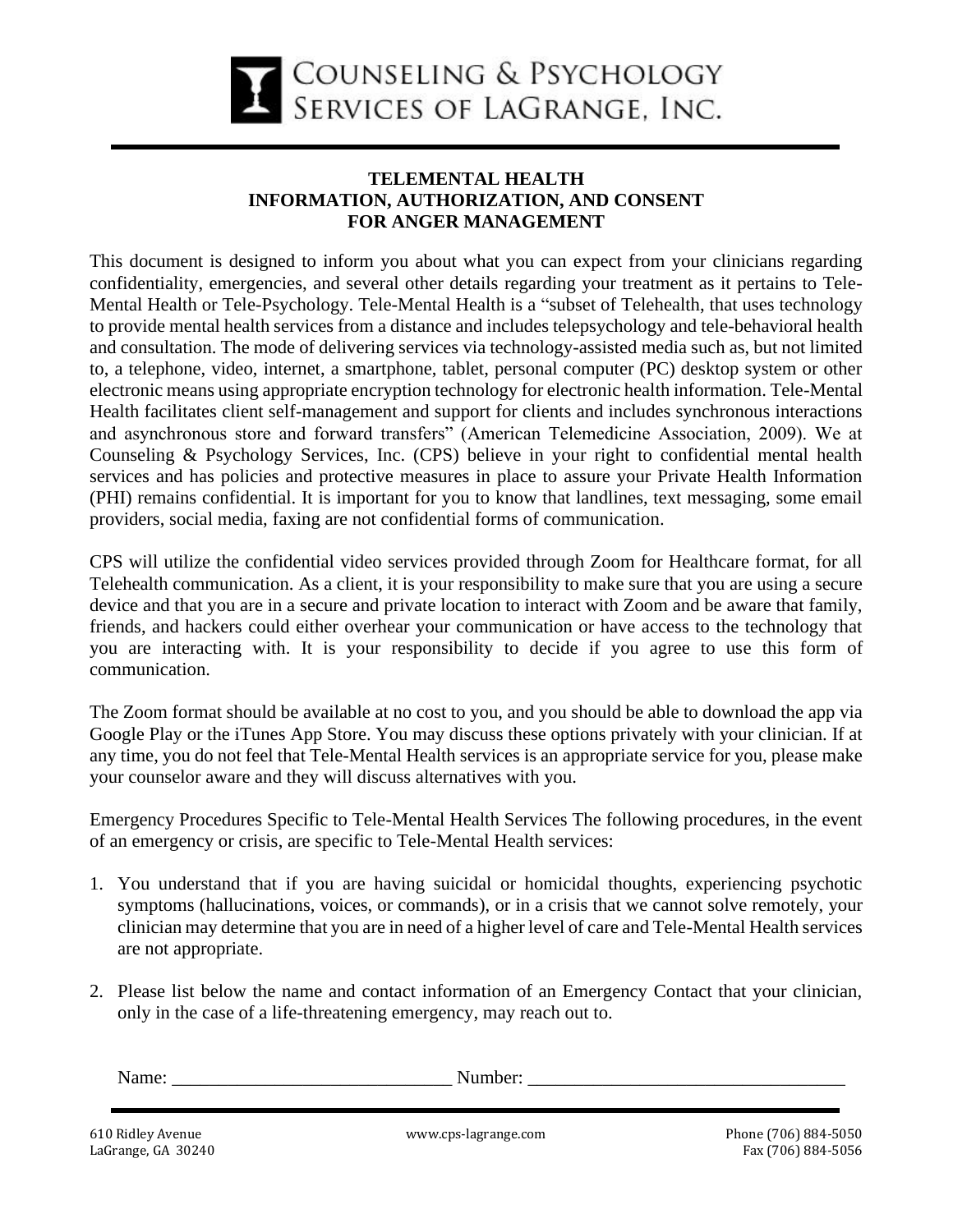

## **TELEMENTAL HEALTH INFORMATION, AUTHORIZATION, AND CONSENT FOR ANGER MANAGEMENT**

This document is designed to inform you about what you can expect from your clinicians regarding confidentiality, emergencies, and several other details regarding your treatment as it pertains to Tele-Mental Health or Tele-Psychology. Tele-Mental Health is a "subset of Telehealth, that uses technology to provide mental health services from a distance and includes telepsychology and tele-behavioral health and consultation. The mode of delivering services via technology-assisted media such as, but not limited to, a telephone, video, internet, a smartphone, tablet, personal computer (PC) desktop system or other electronic means using appropriate encryption technology for electronic health information. Tele-Mental Health facilitates client self-management and support for clients and includes synchronous interactions and asynchronous store and forward transfers" (American Telemedicine Association, 2009). We at Counseling & Psychology Services, Inc. (CPS) believe in your right to confidential mental health services and has policies and protective measures in place to assure your Private Health Information (PHI) remains confidential. It is important for you to know that landlines, text messaging, some email providers, social media, faxing are not confidential forms of communication.

CPS will utilize the confidential video services provided through Zoom for Healthcare format, for all Telehealth communication. As a client, it is your responsibility to make sure that you are using a secure device and that you are in a secure and private location to interact with Zoom and be aware that family, friends, and hackers could either overhear your communication or have access to the technology that you are interacting with. It is your responsibility to decide if you agree to use this form of communication.

The Zoom format should be available at no cost to you, and you should be able to download the app via Google Play or the iTunes App Store. You may discuss these options privately with your clinician. If at any time, you do not feel that Tele-Mental Health services is an appropriate service for you, please make your counselor aware and they will discuss alternatives with you.

Emergency Procedures Specific to Tele-Mental Health Services The following procedures, in the event of an emergency or crisis, are specific to Tele-Mental Health services:

- 1. You understand that if you are having suicidal or homicidal thoughts, experiencing psychotic symptoms (hallucinations, voices, or commands), or in a crisis that we cannot solve remotely, your clinician may determine that you are in need of a higher level of care and Tele-Mental Health services are not appropriate.
- 2. Please list below the name and contact information of an Emergency Contact that your clinician, only in the case of a life-threatening emergency, may reach out to.

| . |  |
|---|--|
|   |  |

610 Ridley Avenue www.cps-lagrange.com Phone (706) 884-5050